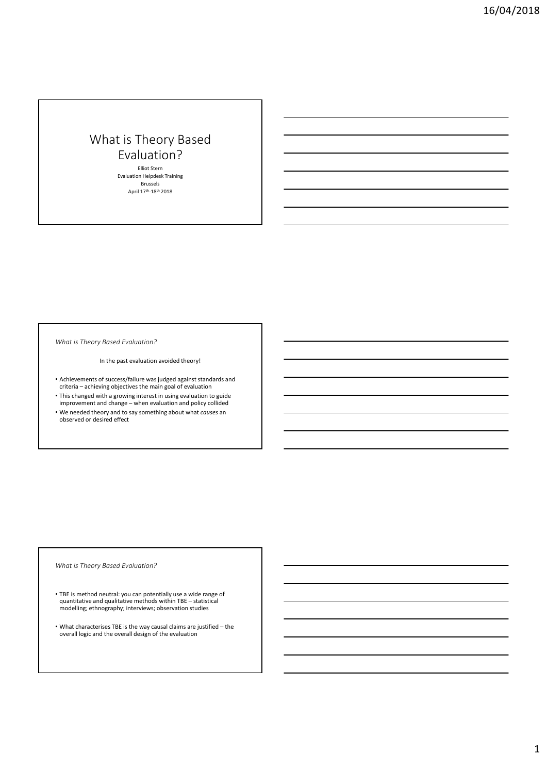Elliot Stern Evaluation Helpdesk Training Brussels April 17<sup>th</sup>-18<sup>th</sup> 2018

*What is Theory Based Evaluation?*

In the past evaluation avoided theory!

- Achievements of success/failure was judged against standards and criteria achieving objectives the main goal of evaluation
- This changed with a growing interest in using evaluation to guide improvement and change – when evaluation and policy collided
- We needed theory and to say something about what *causes* an observed or desired effect

*What is Theory Based Evaluation?*

- TBE is method neutral: you can potentially use a wide range of quantitative and qualitative methods within TBE statistical modelling; ethnography; interviews; observation studies
- What characterises TBE is the way causal claims are justified the overall logic and the overall design of the evaluation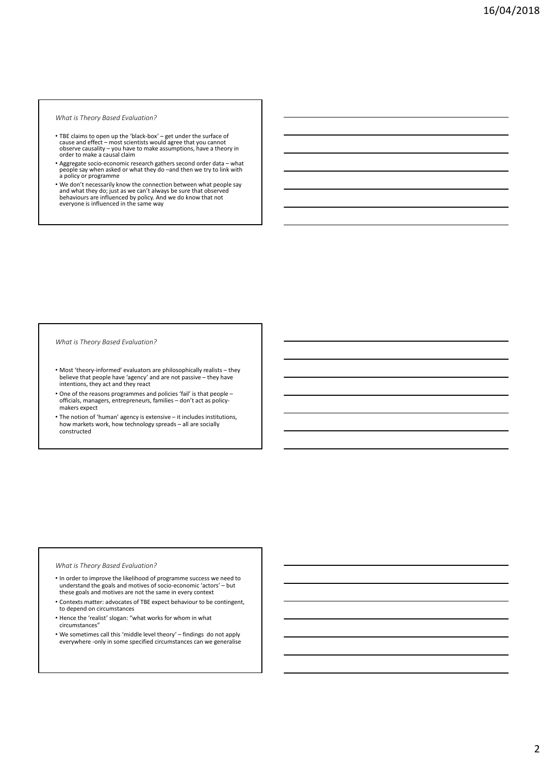- TBE claims to open up the 'black-box' get under the surface of<br>cause and effect most scientists would agree that you cannot<br>observe causality you have to make assumptions, have a theory in<br>order to make a causal cl
- Aggregate socio-economic research gathers second order data what<br>people say when asked or what they do –and then we try to link with<br>a policy or programme
- We don't necessarily know the connection between what people say<br>and what they do; just as we can't always be sure that observed<br>behaviours are influenced by policy. And we do know that not<br>everyone is influenced in the

#### *What is Theory Based Evaluation?*

- Most 'theory‐informed' evaluators are philosophically realists they believe that people have 'agency' and are not passive – they have intentions, they act and they react
- One of the reasons programmes and policies 'fail' is that people officials, managers, entrepreneurs, families – don't act as policy‐ makers expect
- The notion of 'human' agency is extensive it includes institutions, how markets work, how technology spreads – all are socially constructed

#### *What is Theory Based Evaluation?*

- In order to improve the likelihood of programme success we need to understand the goals and motives of socio‐economic 'actors' – but these goals and motives are not the same in every context
- Contexts matter: advocates of TBE expect behaviour to be contingent, to depend on circumstances
- Hence the 'realist' slogan: "what works for whom in what circumstances"
- We sometimes call this 'middle level theory' findings do not apply everywhere -only in some specified circumstances can we generalise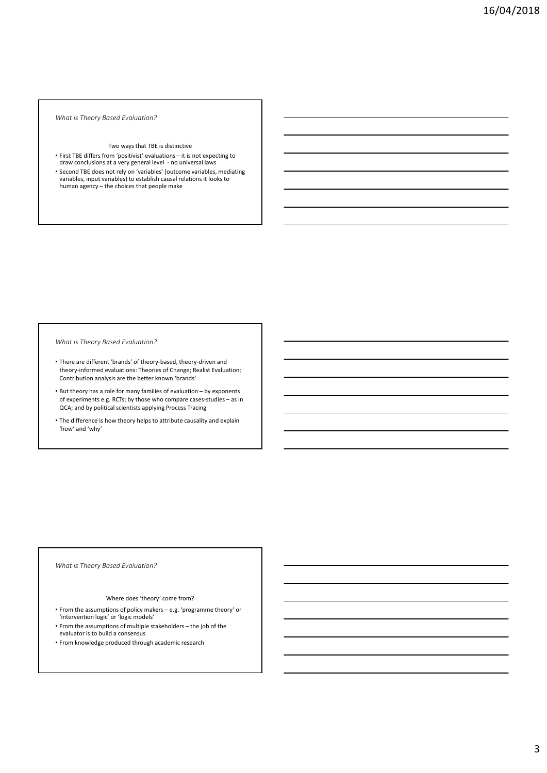#### Two ways that TBE is distinctive

- First TBE differs from 'positivist' evaluations it is not expecting to draw conclusions at a very general level ‐ no universal laws
- Second TBE does not rely on 'variables' (outcome variables, mediating variables, input variables) to establish causal relations it looks to human agency – the choices that people make

*What is Theory Based Evaluation?*

- There are different 'brands' of theory‐based, theory‐driven and theory‐informed evaluations: Theories of Change; Realist Evaluation; Contribution analysis are the better known 'brands'
- But theory has a role for many families of evaluation by exponents of experiments e.g. RCTs; by those who compare cases‐studies – as in QCA; and by political scientists applying Process Tracing
- The difference is how theory helps to attribute causality and explain 'how' and 'why'

#### *What is Theory Based Evaluation?*

#### Where does 'theory' come from?

- From the assumptions of policy makers e.g. 'programme theory' or
- 'intervention logic' or 'logic models' • From the assumptions of multiple stakeholders – the job of the evaluator is to build a consensus
- From knowledge produced through academic research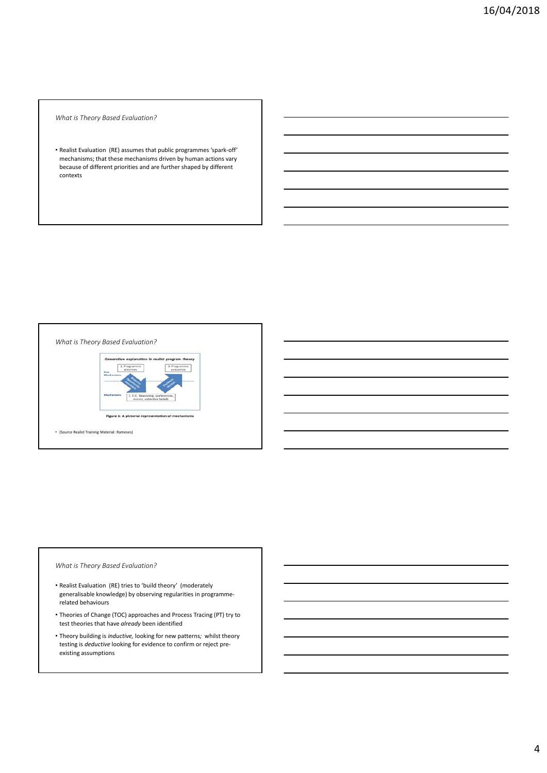• Realist Evaluation (RE) assumes that public programmes 'spark‐off' mechanisms; that these mechanisms driven by human actions vary because of different priorities and are further shaped by different contexts



# *What is Theory Based Evaluation?*

- Realist Evaluation (RE) tries to 'build theory' (moderately generalisable knowledge) by observing regularities in programme‐ related behaviours
- Theories of Change (TOC) approaches and Process Tracing (PT) try to test theories that have *already* been identified
- Theory building is *inductive,* looking for new patterns*;* whilst theory testing is *deductive* looking for evidence to confirm or reject preexisting assumptions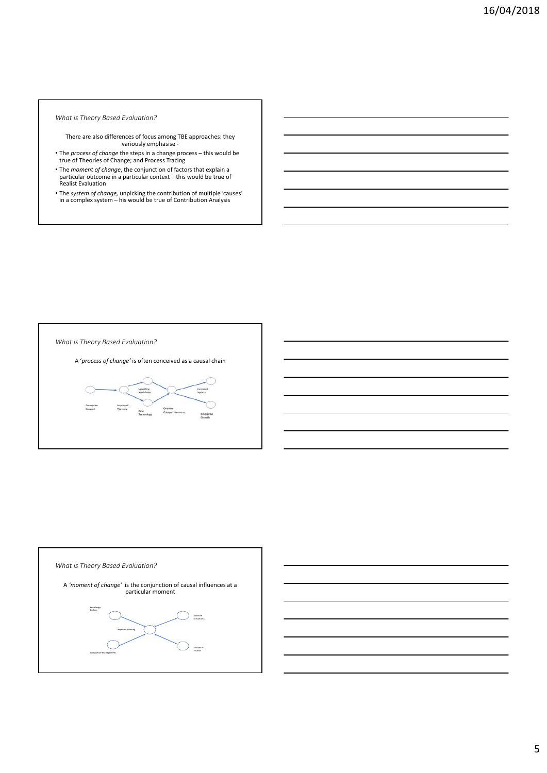- There are also differences of focus among TBE approaches: they variously emphasise ‐
- The *process of change* the steps in a change process this would be true of Theories of Change; and Process Tracing
- The *moment of change*, the conjunction of factors that explain a particular outcome in a particular context – this would be true of Realist Evaluation
- The *system of change,* unpicking the contribution of multiple 'causes' in a complex system his would be true of Contribution Analysis

*What is Theory Based Evaluation?*

A '*process of change'* is often conceived as a causal chain